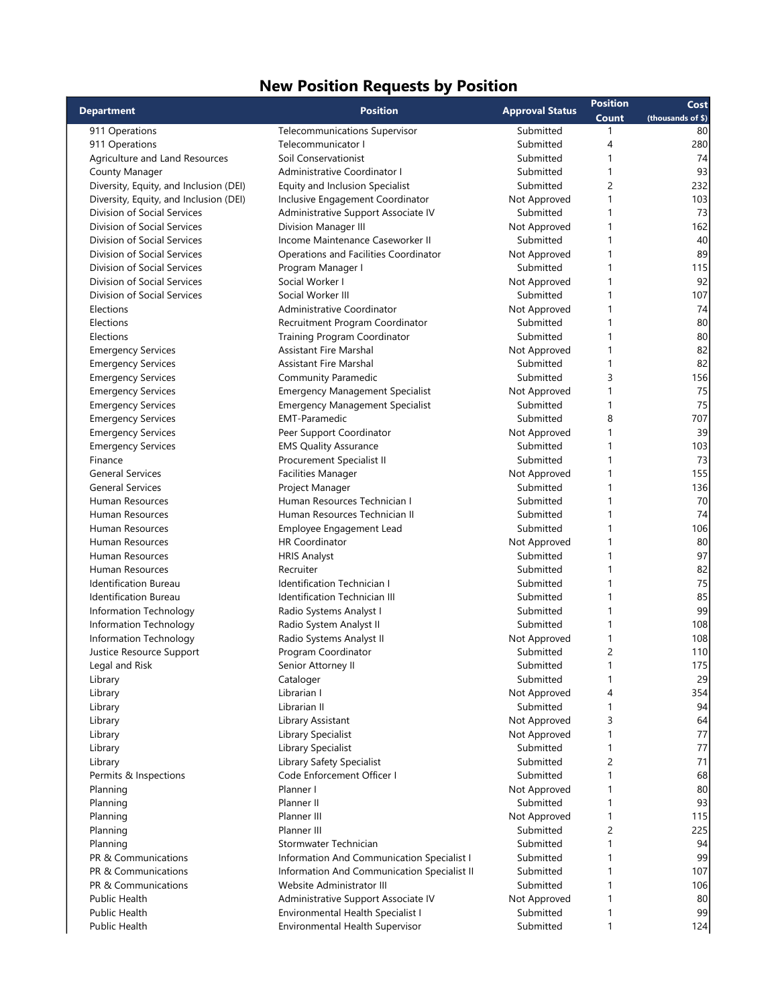## New Position Requests by Position

| <b>Department</b>                      | <b>Position</b>                             | <b>Approval Status</b> | <b>Position</b> | Cost              |
|----------------------------------------|---------------------------------------------|------------------------|-----------------|-------------------|
|                                        |                                             |                        | Count           | (thousands of \$) |
| 911 Operations                         | <b>Telecommunications Supervisor</b>        | Submitted              | 1               | 80                |
| 911 Operations                         | Telecommunicator I                          | Submitted              | 4               | 280               |
| Agriculture and Land Resources         | Soil Conservationist                        | Submitted              | 1               | 74                |
| County Manager                         | Administrative Coordinator I                | Submitted              |                 | 93                |
| Diversity, Equity, and Inclusion (DEI) | Equity and Inclusion Specialist             | Submitted              | 2               | 232               |
| Diversity, Equity, and Inclusion (DEI) | Inclusive Engagement Coordinator            | Not Approved           | 1               | 103               |
| Division of Social Services            | Administrative Support Associate IV         | Submitted              | 1               | 73                |
| Division of Social Services            | <b>Division Manager III</b>                 | Not Approved           | 1               | 162               |
| Division of Social Services            | Income Maintenance Caseworker II            | Submitted              | 1               | 40                |
| Division of Social Services            | Operations and Facilities Coordinator       | Not Approved           | 1               | 89                |
| Division of Social Services            | Program Manager I                           | Submitted              | 1               | 115               |
| Division of Social Services            | Social Worker I                             | Not Approved           |                 | 92                |
| Division of Social Services            | Social Worker III                           | Submitted              | 1               | 107               |
| Elections                              | Administrative Coordinator                  | Not Approved           |                 | 74                |
| Elections                              | Recruitment Program Coordinator             | Submitted              |                 | 80                |
| Elections                              | Training Program Coordinator                | Submitted              |                 | 80                |
| <b>Emergency Services</b>              | <b>Assistant Fire Marshal</b>               | Not Approved           |                 | 82                |
| <b>Emergency Services</b>              | <b>Assistant Fire Marshal</b>               | Submitted              | 1               | 82                |
| <b>Emergency Services</b>              | Community Paramedic                         | Submitted              | 3               | 156               |
| <b>Emergency Services</b>              | <b>Emergency Management Specialist</b>      | Not Approved           | 1               | 75                |
| <b>Emergency Services</b>              | <b>Emergency Management Specialist</b>      | Submitted              | 1               | 75                |
|                                        |                                             | Submitted              |                 |                   |
| <b>Emergency Services</b>              | <b>EMT-Paramedic</b>                        |                        | 8               | 707               |
| <b>Emergency Services</b>              | Peer Support Coordinator                    | Not Approved           | 1               | 39                |
| <b>Emergency Services</b>              | <b>EMS Quality Assurance</b>                | Submitted              | 1               | 103               |
| Finance                                | Procurement Specialist II                   | Submitted              |                 | 73                |
| <b>General Services</b>                | <b>Facilities Manager</b>                   | Not Approved           | 1               | 155               |
| <b>General Services</b>                | Project Manager                             | Submitted              |                 | 136               |
| Human Resources                        | Human Resources Technician I                | Submitted              | 1               | 70                |
| Human Resources                        | Human Resources Technician II               | Submitted              |                 | 74                |
| Human Resources                        | Employee Engagement Lead                    | Submitted              | 1               | 106               |
| Human Resources                        | <b>HR Coordinator</b>                       | Not Approved           |                 | 80                |
| Human Resources                        | <b>HRIS Analyst</b>                         | Submitted              | 1               | 97                |
| Human Resources                        | Recruiter                                   | Submitted              | 1               | 82                |
| Identification Bureau                  | <b>Identification Technician I</b>          | Submitted              |                 | 75                |
| <b>Identification Bureau</b>           | <b>Identification Technician III</b>        | Submitted              | 1               | 85                |
| Information Technology                 | Radio Systems Analyst I                     | Submitted              | 1               | 99                |
| Information Technology                 | Radio System Analyst II                     | Submitted              | 1               | 108               |
| Information Technology                 | Radio Systems Analyst II                    | Not Approved           | 1               | 108               |
| Justice Resource Support               | Program Coordinator                         | Submitted              | 2               | 110               |
| Legal and Risk                         | Senior Attorney II                          | Submitted              | 1               | 175               |
| Library                                | Cataloger                                   | Submitted              | 1               | 29                |
| Library                                | Librarian I                                 | Not Approved           | 4               | 354               |
| Library                                | Librarian II                                | Submitted              | $\mathbf{1}$    | 94                |
| Library                                | Library Assistant                           | Not Approved           | 3               | 64                |
| Library                                | Library Specialist                          | Not Approved           | 1               | 77                |
| Library                                | Library Specialist                          | Submitted              | 1               | 77                |
| Library                                | Library Safety Specialist                   | Submitted              | 2               | 71                |
| Permits & Inspections                  | Code Enforcement Officer I                  | Submitted              | 1               | 68                |
| Planning                               | Planner I                                   | Not Approved           |                 | 80                |
| Planning                               | Planner II                                  | Submitted              | 1               | 93                |
| Planning                               | Planner III                                 | Not Approved           | 1               | 115               |
| Planning                               | Planner III                                 | Submitted              | 2               | 225               |
| Planning                               | Stormwater Technician                       | Submitted              | 1               | 94                |
| PR & Communications                    | Information And Communication Specialist I  | Submitted              |                 | 99                |
| PR & Communications                    | Information And Communication Specialist II | Submitted              | 1               | 107               |
| PR & Communications                    | Website Administrator III                   | Submitted              |                 | 106               |
| Public Health                          | Administrative Support Associate IV         | Not Approved           | 1               | 80                |
| Public Health                          | Environmental Health Specialist I           | Submitted              | 1               | 99                |
|                                        |                                             | Submitted              | 1               | 124               |
| Public Health                          | Environmental Health Supervisor             |                        |                 |                   |